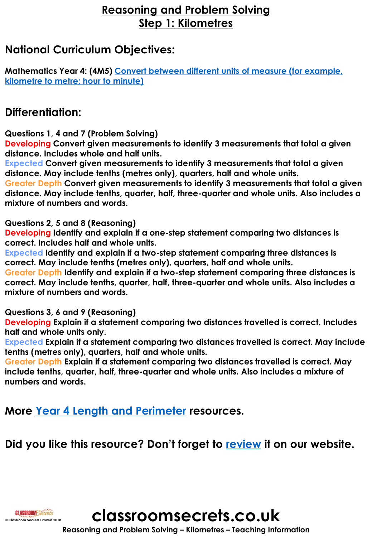# **Reasoning and Problem Solving Step 1: Kilometres**

# **National Curriculum Objectives:**

**[Mathematics Year 4: \(4M5\) Convert between different units of measure \(for example,](https://classroomsecrets.co.uk/content-domain-filter/?fwp_contentdomain=4m5)  kilometre to metre; hour to minute)**

# **Differentiation:**

**Questions 1, 4 and 7 (Problem Solving)**

**Developing Convert given measurements to identify 3 measurements that total a given distance. Includes whole and half units.** 

**Expected Convert given measurements to identify 3 measurements that total a given distance. May include tenths (metres only), quarters, half and whole units.** 

**Greater Depth Convert given measurements to identify 3 measurements that total a given distance. May include tenths, quarter, half, three-quarter and whole units. Also includes a mixture of numbers and words.**

#### **Questions 2, 5 and 8 (Reasoning)**

**Developing Identify and explain if a one-step statement comparing two distances is correct. Includes half and whole units.** 

**Expected Identify and explain if a two-step statement comparing three distances is correct. May include tenths (metres only), quarters, half and whole units.** 

**Greater Depth Identify and explain if a two-step statement comparing three distances is correct. May include tenths, quarter, half, three-quarter and whole units. Also includes a mixture of numbers and words.**

### **Questions 3, 6 and 9 (Reasoning)**

**Developing Explain if a statement comparing two distances travelled is correct. Includes half and whole units only.** 

**Expected Explain if a statement comparing two distances travelled is correct. May include tenths (metres only), quarters, half and whole units.** 

**Greater Depth Explain if a statement comparing two distances travelled is correct. May include tenths, quarter, half, three-quarter and whole units. Also includes a mixture of numbers and words.**

**More [Year 4 Length and Perimeter](https://classroomsecrets.co.uk/category/maths/year-4/autumn-block-3-length-and-perimeter/) resources.**

**Did you like this resource? Don't forget to [review](https://classroomsecrets.co.uk/kilometres-year-4-length-and-perimeter-free-resource-pack/) it on our website.**



**classroomsecrets.co.uk**

**Reasoning and Problem Solving – Kilometres – Teaching Information**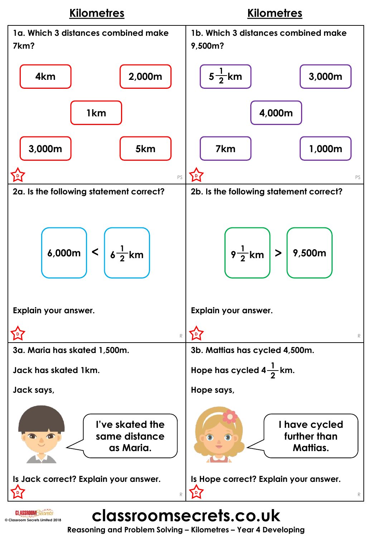

**Reasoning and Problem Solving – Kilometres – Year 4 Developing**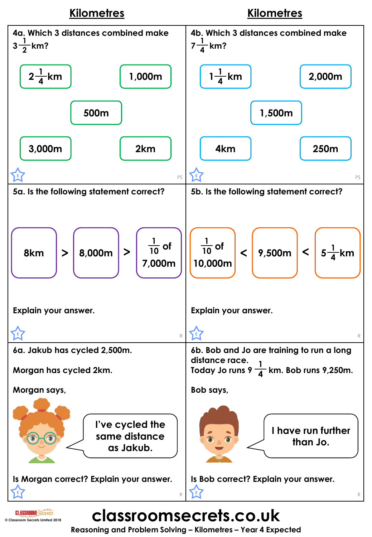

**classroomsecrets.co.uk**

**© Classroom Secrets Limited 2018**

**Reasoning and Problem Solving – Kilometres – Year 4 Expected**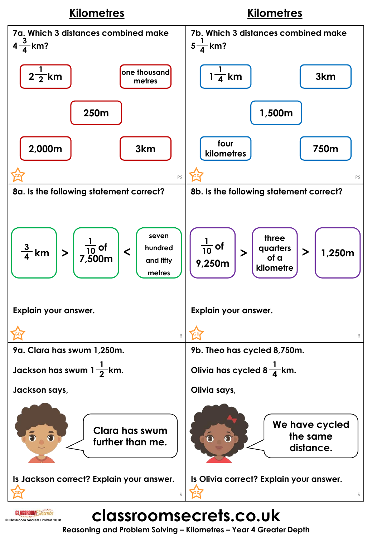

**Reasoning and Problem Solving – Kilometres – Year 4 Greater Depth**